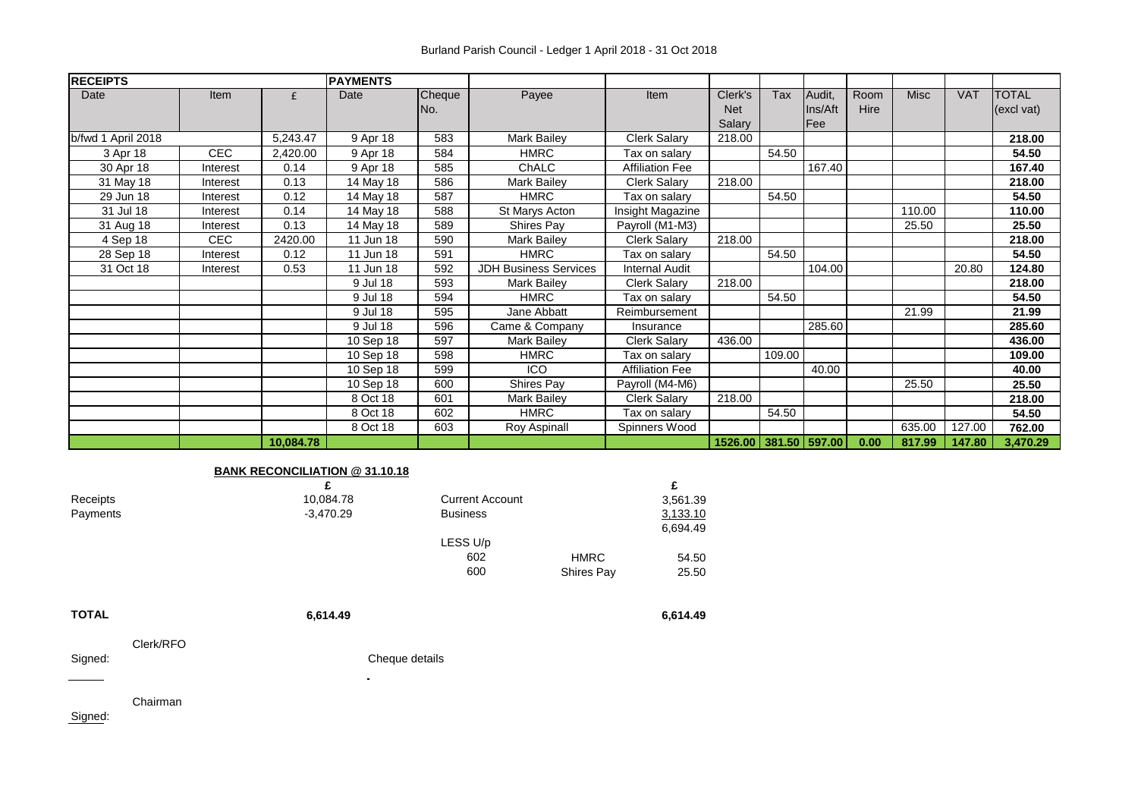| <b>RECEIPTS</b>    |            |           | <b>PAYMENTS</b> |               |                              |                        |                                 |        |                                 |              |             |            |                            |
|--------------------|------------|-----------|-----------------|---------------|------------------------------|------------------------|---------------------------------|--------|---------------------------------|--------------|-------------|------------|----------------------------|
| Date               | Item       | £         | Date            | Cheque<br>No. | Payee                        | Item                   | Clerk's<br><b>Net</b><br>Salary | Tax    | Audit,<br>Ins/Aft<br><b>Fee</b> | Room<br>Hire | <b>Misc</b> | <b>VAT</b> | <b>TOTAL</b><br>(excl vat) |
| b/fwd 1 April 2018 |            | 5,243.47  | 9 Apr 18        | 583           | <b>Mark Bailey</b>           | <b>Clerk Salary</b>    | 218.00                          |        |                                 |              |             |            | 218.00                     |
| 3 Apr 18           | <b>CEC</b> | 2,420.00  | 9 Apr 18        | 584           | <b>HMRC</b>                  | Tax on salary          |                                 | 54.50  |                                 |              |             |            | 54.50                      |
| 30 Apr 18          | Interest   | 0.14      | 9 Apr 18        | 585           | ChALC                        | <b>Affiliation Fee</b> |                                 |        | 167.40                          |              |             |            | 167.40                     |
| 31 May 18          | Interest   | 0.13      | 14 May 18       | 586           | <b>Mark Bailey</b>           | <b>Clerk Salary</b>    | 218.00                          |        |                                 |              |             |            | 218.00                     |
| 29 Jun 18          | Interest   | 0.12      | 14 May 18       | 587           | <b>HMRC</b>                  | Tax on salary          |                                 | 54.50  |                                 |              |             |            | 54.50                      |
| 31 Jul 18          | Interest   | 0.14      | 14 May 18       | 588           | St Marys Acton               | Insight Magazine       |                                 |        |                                 |              | 110.00      |            | 110.00                     |
| 31 Aug 18          | Interest   | 0.13      | 14 May 18       | 589           | Shires Pay                   | Payroll (M1-M3)        |                                 |        |                                 |              | 25.50       |            | 25.50                      |
| 4 Sep 18           | <b>CEC</b> | 2420.00   | 11 Jun 18       | 590           | Mark Bailey                  | <b>Clerk Salary</b>    | 218.00                          |        |                                 |              |             |            | 218.00                     |
| 28 Sep 18          | Interest   | 0.12      | 11 Jun 18       | 591           | <b>HMRC</b>                  | Tax on salary          |                                 | 54.50  |                                 |              |             |            | 54.50                      |
| 31 Oct 18          | Interest   | 0.53      | 11 Jun 18       | 592           | <b>JDH Business Services</b> | <b>Internal Audit</b>  |                                 |        | 104.00                          |              |             | 20.80      | 124.80                     |
|                    |            |           | 9 Jul 18        | 593           | <b>Mark Bailey</b>           | <b>Clerk Salary</b>    | 218.00                          |        |                                 |              |             |            | 218.00                     |
|                    |            |           | 9 Jul 18        | 594           | <b>HMRC</b>                  | Tax on salary          |                                 | 54.50  |                                 |              |             |            | 54.50                      |
|                    |            |           | 9 Jul 18        | 595           | Jane Abbatt                  | Reimbursement          |                                 |        |                                 |              | 21.99       |            | 21.99                      |
|                    |            |           | 9 Jul 18        | 596           | Came & Company               | Insurance              |                                 |        | 285.60                          |              |             |            | 285.60                     |
|                    |            |           | 10 Sep 18       | 597           | Mark Bailey                  | <b>Clerk Salary</b>    | 436.00                          |        |                                 |              |             |            | 436.00                     |
|                    |            |           | 10 Sep 18       | 598           | <b>HMRC</b>                  | Tax on salary          |                                 | 109.00 |                                 |              |             |            | 109.00                     |
|                    |            |           | 10 Sep 18       | 599           | <b>ICO</b>                   | <b>Affiliation Fee</b> |                                 |        | 40.00                           |              |             |            | 40.00                      |
|                    |            |           | 10 Sep 18       | 600           | Shires Pay                   | Payroll (M4-M6)        |                                 |        |                                 |              | 25.50       |            | 25.50                      |
|                    |            |           | 8 Oct 18        | 601           | Mark Bailey                  | <b>Clerk Salary</b>    | 218.00                          |        |                                 |              |             |            | 218.00                     |
|                    |            |           | 8 Oct 18        | 602           | <b>HMRC</b>                  | Tax on salary          |                                 | 54.50  |                                 |              |             |            | 54.50                      |
|                    |            |           | 8 Oct 18        | 603           | Roy Aspinall                 | Spinners Wood          |                                 |        |                                 |              | 635.00      | 127.00     | 762.00                     |
|                    |            | 10,084.78 |                 |               |                              |                        | 1526.00 381.50 597.00           |        |                                 | 0.00         | 817.99      | 147.80     | 3,470.29                   |

## **BANK RECONCILIATION @ 31.10.18**

| 3,561.39             |
|----------------------|
| 3,133.10             |
| 6,694.49             |
|                      |
| <b>HMRC</b><br>54.50 |
| Shires Pay<br>25.50  |
| 6,614.49             |
|                      |
|                      |
|                      |
|                      |
|                      |
|                      |